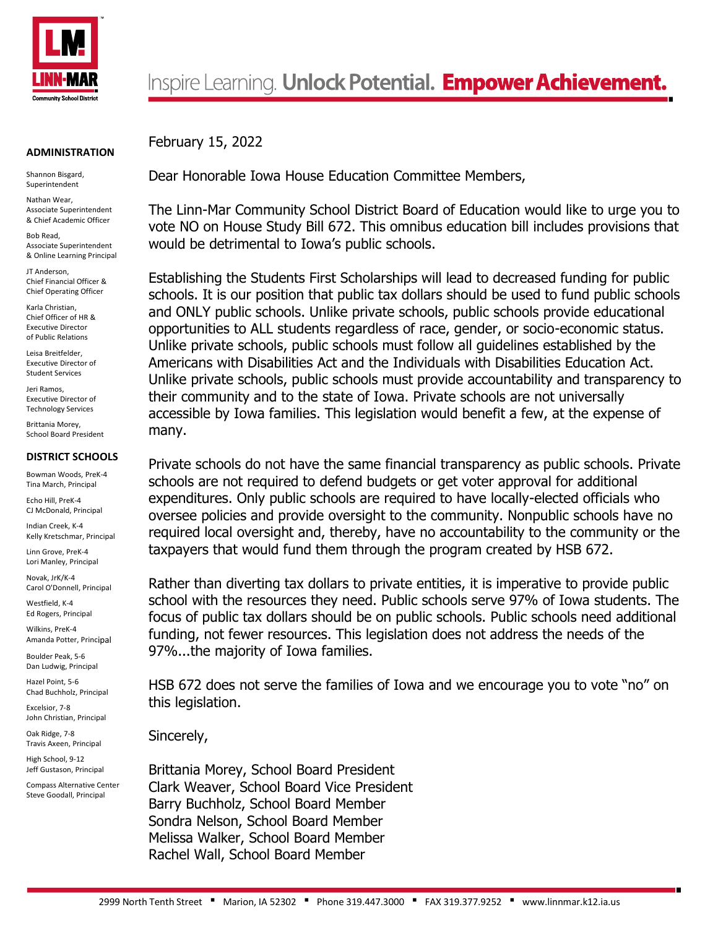

## **ADMINISTRATION**

Shannon Bisgard, Superintendent

Nathan Wear, Associate Superintendent & Chief Academic Officer

Bob Read, Associate Superintendent & Online Learning Principal

JT Anderson, Chief Financial Officer & Chief Operating Officer

Karla Christian, Chief Officer of HR & Executive Director of Public Relations

Leisa Breitfelder, Executive Director of Student Services

Jeri Ramos, Executive Director of Technology Services

Brittania Morey, School Board President

## **DISTRICT SCHOOLS**

Bowman Woods, PreK-4 Tina March, Principal

Echo Hill, PreK-4 CJ McDonald, Principal

Indian Creek, K-4 Kelly Kretschmar, Principal

Linn Grove, PreK-4 Lori Manley, Principal

Novak, JrK/K-4 Carol O'Donnell, Principal

Westfield, K-4 Ed Rogers, Principal

Wilkins, PreK-4 Amanda Potter, Principal

Boulder Peak, 5-6 Dan Ludwig, Principal

Hazel Point, 5-6 Chad Buchholz, Principal

Excelsior, 7-8 John Christian, Principal

Oak Ridge, 7-8 Travis Axeen, Principal

High School, 9-12 Jeff Gustason, Principal

Compass Alternative Center Steve Goodall, Principal

February 15, 2022

Dear Honorable Iowa House Education Committee Members,

The Linn-Mar Community School District Board of Education would like to urge you to vote NO on House Study Bill 672. This omnibus education bill includes provisions that would be detrimental to Iowa's public schools.

Establishing the Students First Scholarships will lead to decreased funding for public schools. It is our position that public tax dollars should be used to fund public schools and ONLY public schools. Unlike private schools, public schools provide educational opportunities to ALL students regardless of race, gender, or socio-economic status. Unlike private schools, public schools must follow all guidelines established by the Americans with Disabilities Act and the Individuals with Disabilities Education Act. Unlike private schools, public schools must provide accountability and transparency to their community and to the state of Iowa. Private schools are not universally accessible by Iowa families. This legislation would benefit a few, at the expense of many.

Private schools do not have the same financial transparency as public schools. Private schools are not required to defend budgets or get voter approval for additional expenditures. Only public schools are required to have locally-elected officials who oversee policies and provide oversight to the community. Nonpublic schools have no required local oversight and, thereby, have no accountability to the community or the taxpayers that would fund them through the program created by HSB 672.

Rather than diverting tax dollars to private entities, it is imperative to provide public school with the resources they need. Public schools serve 97% of Iowa students. The focus of public tax dollars should be on public schools. Public schools need additional funding, not fewer resources. This legislation does not address the needs of the 97%...the majority of Iowa families.

HSB 672 does not serve the families of Iowa and we encourage you to vote "no" on this legislation.

Sincerely,

Brittania Morey, School Board President Clark Weaver, School Board Vice President Barry Buchholz, School Board Member Sondra Nelson, School Board Member Melissa Walker, School Board Member Rachel Wall, School Board Member